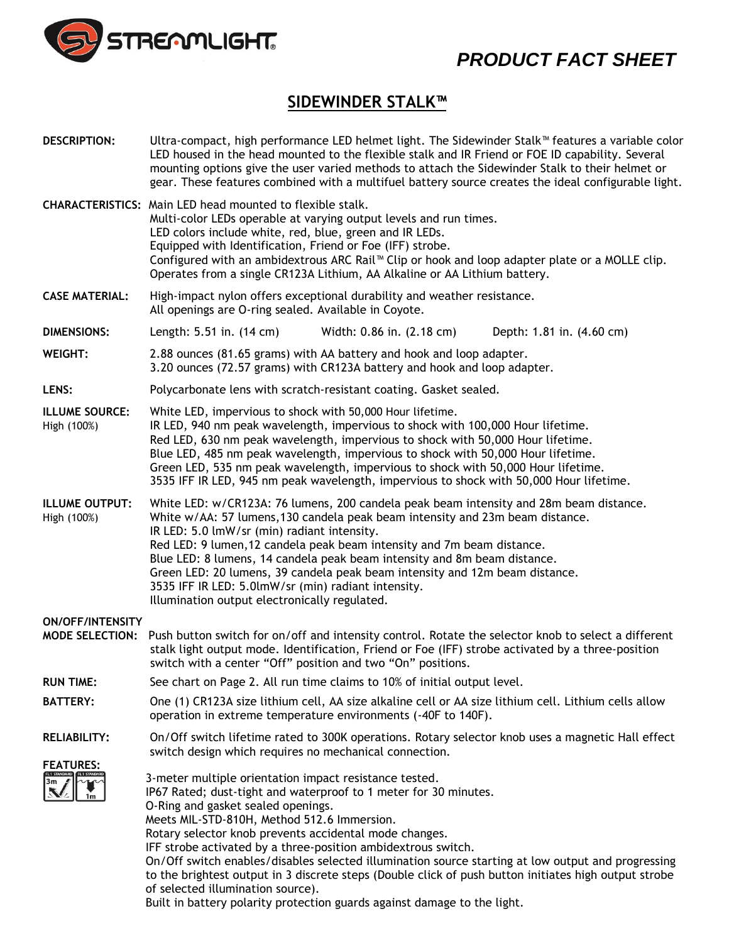

## *PRODUCT FACT SHEET*

## **SIDEWINDER STALK™**

| <b>DESCRIPTION:</b>                               | Ultra-compact, high performance LED helmet light. The Sidewinder Stalk™ features a variable color<br>LED housed in the head mounted to the flexible stalk and IR Friend or FOE ID capability. Several<br>mounting options give the user varied methods to attach the Sidewinder Stalk to their helmet or<br>gear. These features combined with a multifuel battery source creates the ideal configurable light.                                                                                                                                                                                                                                                            |  |  |  |  |
|---------------------------------------------------|----------------------------------------------------------------------------------------------------------------------------------------------------------------------------------------------------------------------------------------------------------------------------------------------------------------------------------------------------------------------------------------------------------------------------------------------------------------------------------------------------------------------------------------------------------------------------------------------------------------------------------------------------------------------------|--|--|--|--|
|                                                   | <b>CHARACTERISTICS:</b> Main LED head mounted to flexible stalk.<br>Multi-color LEDs operable at varying output levels and run times.<br>LED colors include white, red, blue, green and IR LEDs.<br>Equipped with Identification, Friend or Foe (IFF) strobe.<br>Configured with an ambidextrous ARC Rail™ Clip or hook and loop adapter plate or a MOLLE clip.<br>Operates from a single CR123A Lithium, AA Alkaline or AA Lithium battery.                                                                                                                                                                                                                               |  |  |  |  |
| <b>CASE MATERIAL:</b>                             | High-impact nylon offers exceptional durability and weather resistance.<br>All openings are O-ring sealed. Available in Coyote.                                                                                                                                                                                                                                                                                                                                                                                                                                                                                                                                            |  |  |  |  |
| <b>DIMENSIONS:</b>                                | Length: 5.51 in. (14 cm)<br>Width: 0.86 in. (2.18 cm)<br>Depth: 1.81 in. (4.60 cm)                                                                                                                                                                                                                                                                                                                                                                                                                                                                                                                                                                                         |  |  |  |  |
| <b>WEIGHT:</b>                                    | 2.88 ounces (81.65 grams) with AA battery and hook and loop adapter.<br>3.20 ounces (72.57 grams) with CR123A battery and hook and loop adapter.                                                                                                                                                                                                                                                                                                                                                                                                                                                                                                                           |  |  |  |  |
| LENS:                                             | Polycarbonate lens with scratch-resistant coating. Gasket sealed.                                                                                                                                                                                                                                                                                                                                                                                                                                                                                                                                                                                                          |  |  |  |  |
| <b>ILLUME SOURCE:</b><br>High (100%)              | White LED, impervious to shock with 50,000 Hour lifetime.<br>IR LED, 940 nm peak wavelength, impervious to shock with 100,000 Hour lifetime.<br>Red LED, 630 nm peak wavelength, impervious to shock with 50,000 Hour lifetime.<br>Blue LED, 485 nm peak wavelength, impervious to shock with 50,000 Hour lifetime.<br>Green LED, 535 nm peak wavelength, impervious to shock with 50,000 Hour lifetime.<br>3535 IFF IR LED, 945 nm peak wavelength, impervious to shock with 50,000 Hour lifetime.                                                                                                                                                                        |  |  |  |  |
| <b>ILLUME OUTPUT:</b><br>High (100%)              | White LED: w/CR123A: 76 lumens, 200 candela peak beam intensity and 28m beam distance.<br>White w/AA: 57 lumens, 130 candela peak beam intensity and 23m beam distance.<br>IR LED: 5.0 lmW/sr (min) radiant intensity.<br>Red LED: 9 lumen, 12 candela peak beam intensity and 7m beam distance.<br>Blue LED: 8 lumens, 14 candela peak beam intensity and 8m beam distance.<br>Green LED: 20 lumens, 39 candela peak beam intensity and 12m beam distance.<br>3535 IFF IR LED: 5.0lmW/sr (min) radiant intensity.<br>Illumination output electronically regulated.                                                                                                        |  |  |  |  |
| <b>ON/OFF/INTENSITY</b><br><b>MODE SELECTION:</b> | Push button switch for on/off and intensity control. Rotate the selector knob to select a different<br>stalk light output mode. Identification, Friend or Foe (IFF) strobe activated by a three-position<br>switch with a center "Off" position and two "On" positions.                                                                                                                                                                                                                                                                                                                                                                                                    |  |  |  |  |
| <b>RUN TIME:</b>                                  | See chart on Page 2. All run time claims to 10% of initial output level.                                                                                                                                                                                                                                                                                                                                                                                                                                                                                                                                                                                                   |  |  |  |  |
| <b>BATTERY:</b>                                   | One (1) CR123A size lithium cell, AA size alkaline cell or AA size lithium cell. Lithium cells allow<br>operation in extreme temperature environments (-40F to 140F).                                                                                                                                                                                                                                                                                                                                                                                                                                                                                                      |  |  |  |  |
| <b>RELIABILITY:</b>                               | On/Off switch lifetime rated to 300K operations. Rotary selector knob uses a magnetic Hall effect<br>switch design which requires no mechanical connection.                                                                                                                                                                                                                                                                                                                                                                                                                                                                                                                |  |  |  |  |
| <b>FEATURES:</b>                                  | 3-meter multiple orientation impact resistance tested.<br>IP67 Rated; dust-tight and waterproof to 1 meter for 30 minutes.<br>O-Ring and gasket sealed openings.<br>Meets MIL-STD-810H, Method 512.6 Immersion.<br>Rotary selector knob prevents accidental mode changes.<br>IFF strobe activated by a three-position ambidextrous switch.<br>On/Off switch enables/disables selected illumination source starting at low output and progressing<br>to the brightest output in 3 discrete steps (Double click of push button initiates high output strobe<br>of selected illumination source).<br>Built in battery polarity protection guards against damage to the light. |  |  |  |  |